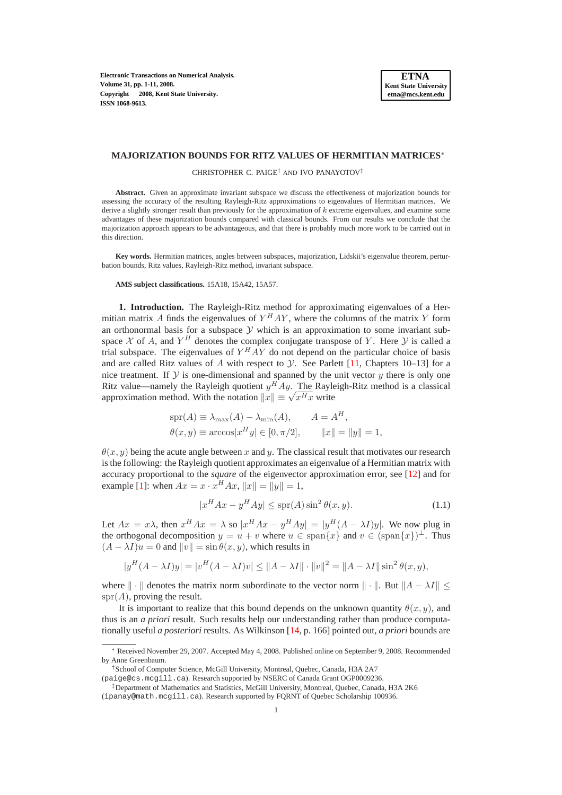**Electronic Transactions on Numerical Analysis. Volume 31, pp. 1-11, 2008. Copyright 2008, Kent State University. ISSN 1068-9613.**

#### **MAJORIZATION BOUNDS FOR RITZ VALUES OF HERMITIAN MATRICES**<sup>∗</sup>

CHRISTOPHER C. PAIGE† AND IVO PANAYOTOV‡

**Abstract.** Given an approximate invariant subspace we discuss the effectiveness of majorization bounds for assessing the accuracy of the resulting Rayleigh-Ritz approximations to eigenvalues of Hermitian matrices. We derive a slightly stronger result than previously for the approximation of  $k$  extreme eigenvalues, and examine some advantages of these majorization bounds compared with classical bounds. From our results we conclude that the majorization approach appears to be advantageous, and that there is probably much more work to be carried out in this direction.

**Key words.** Hermitian matrices, angles between subspaces, majorization, Lidskii's eigenvalue theorem, perturbation bounds, Ritz values, Rayleigh-Ritz method, invariant subspace.

# **AMS subject classifications.** 15A18, 15A42, 15A57.

**1. Introduction.** The Rayleigh-Ritz method for approximating eigenvalues of a Hermitian matrix A finds the eigenvalues of  $Y^HAY$ , where the columns of the matrix Y form an orthonormal basis for a subspace  $Y$  which is an approximation to some invariant subspace X of A, and  $Y^H$  denotes the complex conjugate transpose of Y. Here Y is called a trial subspace. The eigenvalues of  $Y^HAY$  do not depend on the particular choice of basis and are called Ritz values of A with respect to  $\mathcal Y$ . See Parlett [\[11,](#page-10-0) Chapters 10–13] for a nice treatment. If  $Y$  is one-dimensional and spanned by the unit vector  $y$  there is only one Ritz value—namely the Rayleigh quotient  $y^H A y$ . The Rayleigh-Ritz method is a classical approximation method. With the notation  $||x|| \equiv \sqrt{x^H x}$  write

$$
spr(A) \equiv \lambda_{\max}(A) - \lambda_{\min}(A), \qquad A = A^H,
$$
  

$$
\theta(x, y) \equiv \arccos|x^H y| \in [0, \pi/2], \qquad ||x|| = ||y|| = 1,
$$

 $\theta(x, y)$  being the acute angle between x and y. The classical result that motivates our research is the following: the Rayleigh quotient approximates an eigenvalue of a Hermitian matrix with accuracy proportional to the *square* of the eigenvector approximation error, see [\[12\]](#page-10-1) and for example [\[1\]](#page-9-0): when  $Ax = x \cdot x^H Ax$ ,  $||x|| = ||y|| = 1$ ,

$$
|x^H A x - y^H A y| \le \text{spr}(A) \sin^2 \theta(x, y). \tag{1.1}
$$

<span id="page-0-0"></span>Let  $Ax = x\lambda$ , then  $x^H Ax = \lambda$  so  $|x^H Ax - y^H Ay| = |y^H (A - \lambda I)y|$ . We now plug in the orthogonal decomposition  $y = u + v$  where  $u \in \text{span}\{x\}$  and  $v \in (\text{span}\{x\})^{\perp}$ . Thus  $(A - \lambda I)u = 0$  and  $||v|| = \sin \theta(x, y)$ , which results in

$$
|y^H (A - \lambda I) y| = |v^H (A - \lambda I) v| \le ||A - \lambda I|| \cdot ||v||^2 = ||A - \lambda I|| \sin^2 \theta(x, y),
$$

where  $\| \cdot \|$  denotes the matrix norm subordinate to the vector norm  $\| \cdot \|$ . But  $\|A - \lambda I\|$  $spr(A)$ , proving the result.

It is important to realize that this bound depends on the unknown quantity  $\theta(x, y)$ , and thus is an *a priori* result. Such results help our understanding rather than produce computationally useful *a posteriori* results. As Wilkinson [\[14,](#page-10-2) p. 166] pointed out, *a priori* bounds are

<sup>∗</sup> Received November 29, 2007. Accepted May 4, 2008. Published online on September 9, 2008. Recommended by Anne Greenbaum.

<sup>†</sup>School of Computer Science, McGill University, Montreal, Quebec, Canada, H3A 2A7

<sup>(</sup>paige@cs.mcgill.ca). Research supported by NSERC of Canada Grant OGP0009236.

<sup>‡</sup>Department of Mathematics and Statistics, McGill University, Montreal, Quebec, Canada, H3A 2K6 (ipanay@math.mcgill.ca). Research supported by FQRNT of Quebec Scholarship 100936.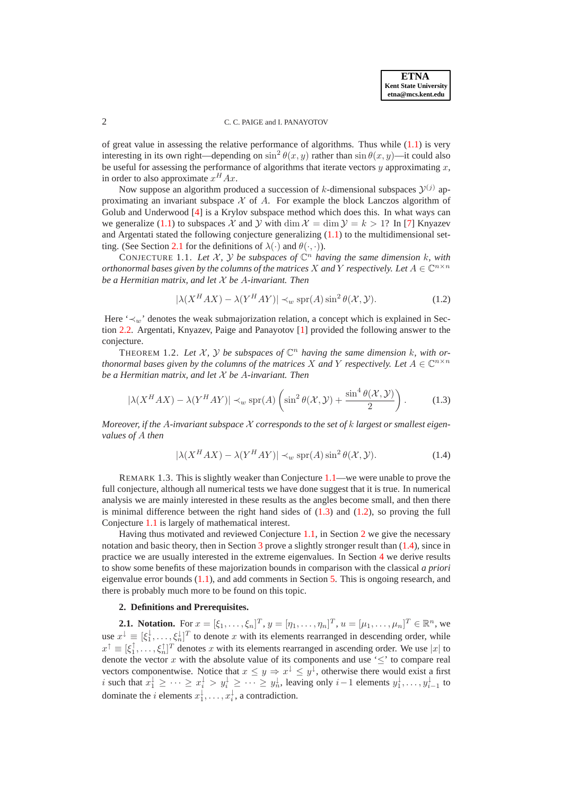**ETNA Kent State University etna@mcs.kent.edu**

# 2 C. C. PAIGE and I. PANAYOTOV

of great value in assessing the relative performance of algorithms. Thus while  $(1.1)$  is very interesting in its own right—depending on  $\sin^2 \theta(x, y)$  rather than  $\sin \theta(x, y)$ —it could also be useful for assessing the performance of algorithms that iterate vectors y approximating x. in order to also approximate  $x^H Ax$ .

Now suppose an algorithm produced a succession of k-dimensional subspaces  $\mathcal{Y}^{(j)}$  approximating an invariant subspace  $X$  of A. For example the block Lanczos algorithm of Golub and Underwood [\[4\]](#page-10-3) is a Krylov subspace method which does this. In what ways can we generalize [\(1.1\)](#page-0-0) to subspaces X and Y with dim  $\mathcal{X} = \dim \mathcal{Y} = k > 1$ ? In [\[7\]](#page-10-4) Knyazev and Argentati stated the following conjecture generalizing  $(1.1)$  to the multidimensional set-ting. (See Section [2.1](#page-1-0) for the definitions of  $\lambda(\cdot)$  and  $\theta(\cdot, \cdot)$ ).

<span id="page-1-3"></span>CONJECTURE 1.1. Let  $\mathcal{X}, \mathcal{Y}$  be subspaces of  $\mathbb{C}^n$  having the same dimension k, with *orthonormal bases given by the columns of the matrices X and Y respectively. Let*  $A \in \mathbb{C}^{n \times n}$ *be a Hermitian matrix, and let* X *be* A*-invariant. Then*

<span id="page-1-1"></span>
$$
|\lambda(X^H A X) - \lambda(Y^H A Y)| \prec_w \text{spr}(A) \sin^2 \theta(\mathcal{X}, \mathcal{Y}).
$$
 (1.2)

<span id="page-1-6"></span>Here ' $\prec_w$ ' denotes the weak submajorization relation, a concept which is explained in Section [2.2.](#page-2-0) Argentati, Knyazev, Paige and Panayotov [\[1\]](#page-9-0) provided the following answer to the conjecture.

<span id="page-1-2"></span>THEOREM 1.2. Let  $X$ ,  $Y$  be subspaces of  $\mathbb{C}^n$  having the same dimension k, with or*thonormal bases given by the columns of the matrices* X and Y *respectively. Let*  $A \in \mathbb{C}^{n \times n}$ *be a Hermitian matrix, and let* X *be* A*-invariant. Then*

$$
|\lambda(X^H A X) - \lambda(Y^H A Y)| \prec_w \text{spr}(A) \left(\sin^2 \theta(\mathcal{X}, \mathcal{Y}) + \frac{\sin^4 \theta(\mathcal{X}, \mathcal{Y})}{2}\right). \tag{1.3}
$$

<span id="page-1-5"></span>*Moreover, if the* A*-invariant subspace* X *corresponds to the set of* k *largest or smallest eigenvalues of* A *then*

$$
|\lambda(X^H A X) - \lambda(Y^H A Y)| \prec_w \text{spr}(A) \sin^2 \theta(\mathcal{X}, \mathcal{Y}).
$$
 (1.4)

<span id="page-1-7"></span>REMARK 1.3. This is slightly weaker than Conjecture [1.1—](#page-1-1)we were unable to prove the full conjecture, although all numerical tests we have done suggest that it is true. In numerical analysis we are mainly interested in these results as the angles become small, and then there is minimal difference between the right hand sides of  $(1.3)$  and  $(1.2)$ , so proving the full Conjecture [1.1](#page-1-1) is largely of mathematical interest.

Having thus motivated and reviewed Conjecture [1.1,](#page-1-1) in Section [2](#page-1-4) we give the necessary notation and basic theory, then in Section [3](#page-3-0) prove a slightly stronger result than [\(1.4\)](#page-1-5), since in practice we are usually interested in the extreme eigenvalues. In Section [4](#page-6-0) we derive results to show some benefits of these majorization bounds in comparison with the classical *a priori* eigenvalue error bounds [\(1.1\)](#page-0-0), and add comments in Section [5.](#page-9-1) This is ongoing research, and there is probably much more to be found on this topic.

# **2. Definitions and Prerequisites.**

<span id="page-1-4"></span><span id="page-1-0"></span>**2.1. Notation.** For  $x = [\xi_1, ..., \xi_n]^T$ ,  $y = [\eta_1, ..., \eta_n]^T$ ,  $u = [\mu_1, ..., \mu_n]^T \in \mathbb{R}^n$ , we use  $x^{\downarrow} \equiv [\xi_1^{\downarrow}, \dots, \xi_n^{\downarrow}]^T$  to denote x with its elements rearranged in descending order, while  $x^{\uparrow} \equiv [\xi_1^{\uparrow}, \dots, \xi_n^{\uparrow}]^T$  denotes x with its elements rearranged in ascending order. We use |x| to denote the vector x with the absolute value of its components and use ' $\leq$ ' to compare real vectors componentwise. Notice that  $x \leq y \Rightarrow x^{\downarrow} \leq y^{\downarrow}$ , otherwise there would exist a first i such that  $x_1^{\downarrow} \geq \cdots \geq x_i^{\downarrow} > y_i^{\downarrow} \geq \cdots \geq y_n^{\downarrow}$ , leaving only  $i-1$  elements  $y_1^{\downarrow}, \ldots, y_{i-1}^{\downarrow}$  to dominate the *i* elements  $x_1^{\downarrow}, \ldots, x_i^{\downarrow}$ , a contradiction.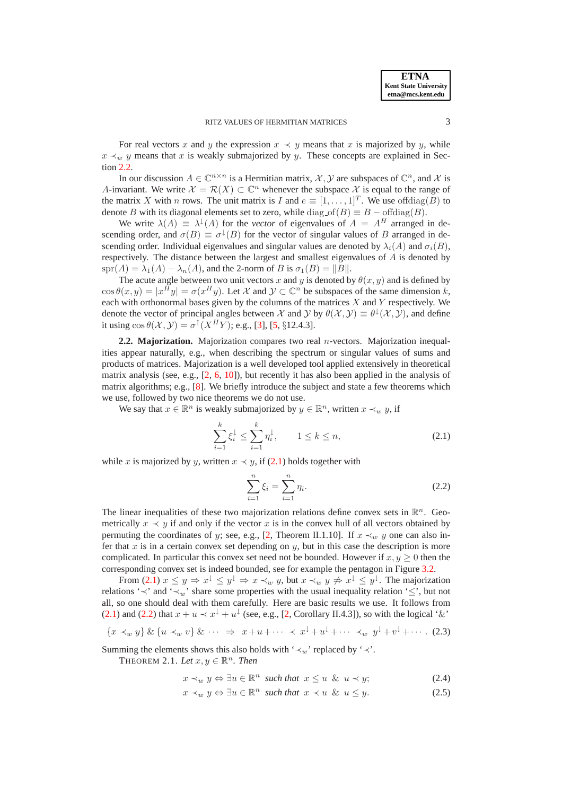# RITZ VALUES OF HERMITIAN MATRICES 3

For real vectors x and y the expression  $x \prec y$  means that x is majorized by y, while  $x \prec_w y$  means that x is weakly submajorized by y. These concepts are explained in Section [2.2.](#page-2-0)

In our discussion  $A \in \mathbb{C}^{n \times n}$  is a Hermitian matrix,  $\mathcal{X}, \mathcal{Y}$  are subspaces of  $\mathbb{C}^n$ , and  $\mathcal{X}$  is A-invariant. We write  $\mathcal{X} = \mathcal{R}(X) \subset \mathbb{C}^n$  whenever the subspace  $\mathcal{X}$  is equal to the range of the matrix X with *n* rows. The unit matrix is I and  $e \equiv [1, \ldots, 1]^T$ . We use offdiag(B) to denote B with its diagonal elements set to zero, while diag  $of(B) \equiv B - of(\text{diag}(B))$ .

We write  $\lambda(A) \equiv \lambda^{\downarrow}(A)$  for the *vector* of eigenvalues of  $A = A^H$  arranged in descending order, and  $\sigma(B) \equiv \sigma^{\downarrow}(B)$  for the vector of singular values of B arranged in descending order. Individual eigenvalues and singular values are denoted by  $\lambda_i(A)$  and  $\sigma_i(B)$ , respectively. The distance between the largest and smallest eigenvalues of A is denoted by spr(A) =  $\lambda_1(A) - \lambda_n(A)$ , and the 2-norm of B is  $\sigma_1(B) = ||B||$ .

The acute angle between two unit vectors x and y is denoted by  $\theta(x, y)$  and is defined by  $\cos \theta(x, y) = |x^H y| = \sigma(x^H y)$ . Let X and  $\mathcal{Y} \subset \mathbb{C}^n$  be subspaces of the same dimension k, each with orthonormal bases given by the columns of the matrices  $X$  and  $Y$  respectively. We denote the vector of principal angles between  $\mathcal X$  and  $\mathcal Y$  by  $\theta(\mathcal X, \mathcal Y) \equiv \theta^{\downarrow}(\mathcal X, \mathcal Y)$ , and define it using  $\cos \theta(\mathcal{X}, \mathcal{Y}) = \sigma^{\dagger}(X^H Y)$ ; e.g., [\[3\]](#page-9-2), [\[5,](#page-10-5) §12.4.3].

<span id="page-2-0"></span>**2.2. Majorization.** Majorization compares two real n-vectors. Majorization inequalities appear naturally, e.g., when describing the spectrum or singular values of sums and products of matrices. Majorization is a well developed tool applied extensively in theoretical matrix analysis (see, e.g., [\[2,](#page-9-3) [6,](#page-10-6) [10\]](#page-10-7)), but recently it has also been applied in the analysis of matrix algorithms; e.g., [\[8\]](#page-10-8). We briefly introduce the subject and state a few theorems which we use, followed by two nice theorems we do not use.

<span id="page-2-1"></span>We say that  $x \in \mathbb{R}^n$  is weakly submajorized by  $y \in \mathbb{R}^n$ , written  $x \prec_w y$ , if

<span id="page-2-2"></span>
$$
\sum_{i=1}^{k} \xi_i^{\downarrow} \le \sum_{i=1}^{k} \eta_i^{\downarrow}, \qquad 1 \le k \le n,
$$
\n(2.1)

while x is majorized by y, written  $x \prec y$ , if [\(2.1\)](#page-2-1) holds together with

$$
\sum_{i=1}^{n} \xi_i = \sum_{i=1}^{n} \eta_i.
$$
\n(2.2)

The linear inequalities of these two majorization relations define convex sets in  $\mathbb{R}^n$ . Geometrically  $x \prec y$  if and only if the vector x is in the convex hull of all vectors obtained by permuting the coordinates of y; see, e.g., [\[2,](#page-9-3) Theorem II.1.10]. If  $x \prec_w y$  one can also infer that x is in a certain convex set depending on  $y$ , but in this case the description is more complicated. In particular this convex set need not be bounded. However if  $x, y \ge 0$  then the corresponding convex set is indeed bounded, see for example the pentagon in Figure [3.2.](#page-5-0)

From [\(2.1\)](#page-2-1)  $x \le y \Rightarrow x^{\perp} \le y^{\perp} \Rightarrow x \prec_w y$ , but  $x \prec_w y \not\Rightarrow x^{\perp} \le y^{\perp}$ . The majorization relations ' $\prec$ ' and ' $\prec_w$ ' share some properties with the usual inequality relation ' $\leq$ ', but not all, so one should deal with them carefully. Here are basic results we use. It follows from [\(2.1\)](#page-2-1) and [\(2.2\)](#page-2-2) that  $x + u \prec x^{\downarrow} + u^{\downarrow}$  (see, e.g., [\[2,](#page-9-3) Corollary II.4.3]), so with the logical '&'

<span id="page-2-5"></span>
$$
\{x \prec_w y\} \& \{u \prec_w v\} \& \cdots \Rightarrow x + u + \cdots \prec x^{\downarrow} + u^{\downarrow} + \cdots \prec_w y^{\downarrow} + v^{\downarrow} + \cdots. \tag{2.3}
$$

Summing the elements shows this also holds with ' $\prec_w$ ' replaced by ' $\prec'$ .

THEOREM 2.1. Let  $x, y \in \mathbb{R}^n$ . Then

<span id="page-2-4"></span><span id="page-2-3"></span>
$$
x \prec_w y \Leftrightarrow \exists u \in \mathbb{R}^n \text{ such that } x \le u \ \& \ u \prec y; \tag{2.4}
$$

$$
x \prec_w y \Leftrightarrow \exists u \in \mathbb{R}^n \text{ such that } x \prec u \And u \leq y. \tag{2.5}
$$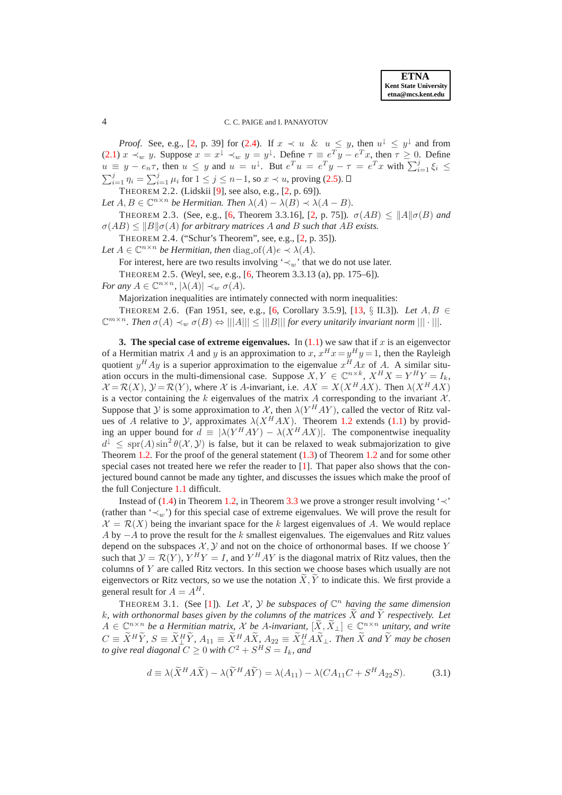*Proof.* See, e.g., [\[2,](#page-9-3) p. 39] for [\(2.4\)](#page-2-3). If  $x \prec u$  &  $u \leq y$ , then  $u^{\perp} \leq y^{\perp}$  and from [\(2.1\)](#page-2-1)  $x \prec_w y$ . Suppose  $x = x^{\downarrow} \prec_w y = y^{\downarrow}$ . Define  $\tau \equiv e^T y - e^T x$ , then  $\tau \geq 0$ . Define  $u \equiv y - e_n \tau$ , then  $u \leq y$  and  $u = u^{\downarrow}$ . But  $e^T u = e^T y - \tau = e^T x$  with  $\sum_{i=1}^j \xi_i \leq$  $\sum_{i=1}^{j} \eta_i = \sum_{i=1}^{j} \mu_i$  for  $1 \leq j \leq n-1$ , so  $x \prec u$ , proving [\(2.5\)](#page-2-4).

<span id="page-3-4"></span><span id="page-3-3"></span>THEOREM 2.2. (Lidskii [\[9\]](#page-10-9), see also, e.g., [\[2,](#page-9-3) p. 69])*.*

Let  $A, B \in \mathbb{C}^{n \times n}$  be Hermitian. Then  $\lambda(A) - \lambda(B) \prec \lambda(A - B)$ .

THEOREM 2.3. (See, e.g., [\[6,](#page-10-6) Theorem 3.3.16], [\[2,](#page-9-3) p. 75]).  $\sigma(AB) \le ||A|| \sigma(B)$  *and*  $\sigma(AB) \leq ||B||\sigma(A)$  *for arbitrary matrices* A *and* B *such that* AB *exists.* 

THEOREM 2.4. ("Schur's Theorem", see, e.g., [\[2,](#page-9-3) p. 35])*.*

Let  $A \in \mathbb{C}^{n \times n}$  be Hermitian, then  $\text{diag}_\text{-} \text{of}(A) e \prec \lambda(A)$ .

<span id="page-3-5"></span>For interest, here are two results involving ' $\prec_w$ ' that we do not use later.

THEOREM 2.5. (Weyl, see, e.g., [\[6,](#page-10-6) Theorem 3.3.13 (a), pp. 175–6])*.*

*For any*  $A \in \mathbb{C}^{n \times n}$ ,  $|\lambda(A)| \prec_w \sigma(A)$ .

Majorization inequalities are intimately connected with norm inequalities:

THEOREM 2.6. (Fan 1951, see, e.g., [\[6,](#page-10-6) Corollary 3.5.9], [\[13,](#page-10-10) § II.3])*. Let* A, B ∈  $\mathbb{C}^{m \times n}$ . Then  $\sigma(A) \prec_w \sigma(B) \Leftrightarrow |||A||| \leq |||B|||$  *for every unitarily invariant norm*  $||| \cdot |||$ *.* 

<span id="page-3-0"></span>**3. The special case of extreme eigenvalues.** In  $(1.1)$  we saw that if x is an eigenvector of a Hermitian matrix A and y is an approximation to x,  $x^H x = y^H y = 1$ , then the Rayleigh quotient  $y^H A y$  is a superior approximation to the eigenvalue  $x^H A x$  of A. A similar situation occurs in the multi-dimensional case. Suppose  $X, Y \in \mathbb{C}^{n \times k}$ ,  $X^H X = Y^H Y = I_k$ ,  $\mathcal{X} = \mathcal{R}(X)$ ,  $\mathcal{Y} = \mathcal{R}(Y)$ , where X is A-invariant, i.e.  $AX = X(X^HAX)$ . Then  $\lambda(X^HAX)$ is a vector containing the k eigenvalues of the matrix A corresponding to the invariant  $\mathcal{X}$ . Suppose that Y is some approximation to  $\mathcal{X}$ , then  $\lambda(Y^HAY)$ , called the vector of Ritz values of A relative to Y, approximates  $\lambda(X^HAX)$ . Theorem [1.2](#page-1-6) extends [\(1.1\)](#page-0-0) by providing an upper bound for  $d \equiv |\lambda(Y^HAY) - \lambda(X^HAX)|$ . The componentwise inequality  $d^{\downarrow} \leq$  spr(A) sin<sup>2</sup>  $\theta(\mathcal{X}, \mathcal{Y})$  is false, but it can be relaxed to weak submajorization to give Theorem [1.2.](#page-1-6) For the proof of the general statement [\(1.3\)](#page-1-2) of Theorem [1.2](#page-1-6) and for some other special cases not treated here we refer the reader to  $[1]$ . That paper also shows that the conjectured bound cannot be made any tighter, and discusses the issues which make the proof of the full Conjecture [1.1](#page-1-1) difficult.

Instead of [\(1.4\)](#page-1-5) in Theorem [1.2,](#page-1-6) in Theorem [3.3](#page-4-0) we prove a stronger result involving ' $\prec$ ' (rather than ' $\prec_w$ ') for this special case of extreme eigenvalues. We will prove the result for  $\mathcal{X} = \mathcal{R}(X)$  being the invariant space for the k largest eigenvalues of A. We would replace A by  $-A$  to prove the result for the k smallest eigenvalues. The eigenvalues and Ritz values depend on the subspaces  $\mathcal{X}, \mathcal{Y}$  and not on the choice of orthonormal bases. If we choose Y such that  $\mathcal{Y} = \mathcal{R}(Y)$ ,  $Y^H Y = I$ , and  $Y^H A Y$  is the diagonal matrix of Ritz values, then the columns of Y are called Ritz vectors. In this section we choose bases which usually are not eigenvectors or Ritz vectors, so we use the notation  $\tilde{X}, \tilde{Y}$  to indicate this. We first provide a general result for  $A = A^H$ .

<span id="page-3-2"></span>THEOREM 3.1. (See [\[1\]](#page-9-0)). Let  $X$ ,  $Y$  be subspaces of  $\mathbb{C}^n$  having the same dimension k, with orthonormal bases given by the columns of the matrices  $\widetilde{X}$  and  $\widetilde{Y}$  respectively. Let  $A \in \mathbb{C}^{n \times n}$  *be a Hermitian matrix,*  $\mathcal{X}$  *be A-invariant*,  $[\widetilde{X}, \widetilde{X}_{\perp}] \in \mathbb{C}^{n \times n}$  *unitary, and write*  $C = \tilde{X}^H \tilde{Y}, S = \tilde{X}_\perp^H \tilde{Y}, A_{11} \equiv \tilde{X}^H A \tilde{X}, A_{22} \equiv \tilde{X}_\perp^H A \tilde{X}_\perp$ . Then  $\tilde{X}$  and  $\tilde{Y}$  may be chosen *to give real diagonal*  $C \geq 0$  *with*  $C^2 + S^H S = I_k$ *, and* 

<span id="page-3-1"></span>
$$
d \equiv \lambda(\widetilde{X}^H A \widetilde{X}) - \lambda(\widetilde{Y}^H A \widetilde{Y}) = \lambda(A_{11}) - \lambda(CA_{11}C + S^H A_{22}S). \tag{3.1}
$$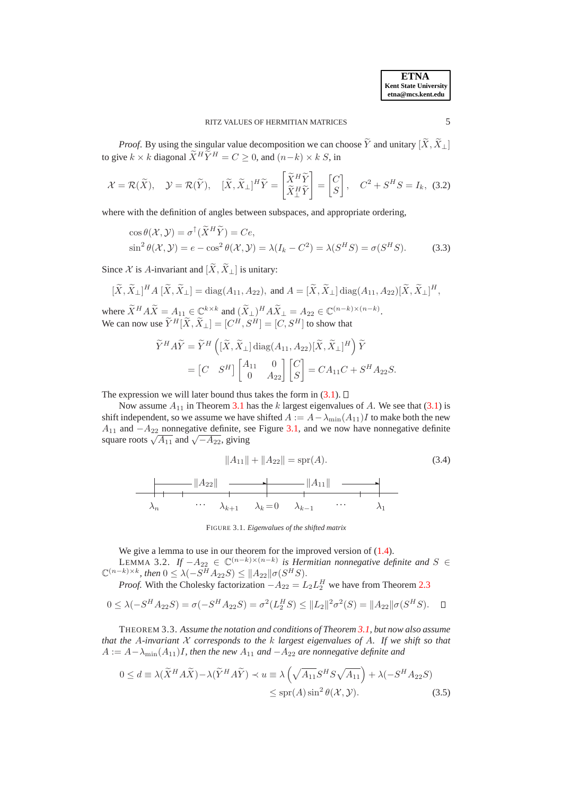**ETNA Kent State University etna@mcs.kent.edu**

*Proof.* By using the singular value decomposition we can choose  $\widetilde{Y}$  and unitary  $[\widetilde{X}, \widetilde{X}]$ to give  $k \times k$  diagonal  $\widetilde{X}^H \widetilde{Y}^H = C \geq 0$ , and  $(n-k) \times k$  S, in

$$
\mathcal{X} = \mathcal{R}(\widetilde{X}), \quad \mathcal{Y} = \mathcal{R}(\widetilde{Y}), \quad [\widetilde{X}, \widetilde{X}_{\perp}]^H \widetilde{Y} = \begin{bmatrix} \widetilde{X}^H \widetilde{Y} \\ \widetilde{X}_{\perp}^H \widetilde{Y} \end{bmatrix} = \begin{bmatrix} C \\ S \end{bmatrix}, \quad C^2 + S^H S = I_k, \tag{3.2}
$$

where with the definition of angles between subspaces, and appropriate ordering,

$$
\cos \theta(\mathcal{X}, \mathcal{Y}) = \sigma^{\uparrow}(\widetilde{X}^{H}\widetilde{Y}) = Ce,
$$
  
\n
$$
\sin^{2} \theta(\mathcal{X}, \mathcal{Y}) = e - \cos^{2} \theta(\mathcal{X}, \mathcal{Y}) = \lambda(I_{k} - C^{2}) = \lambda(S^{H}S) = \sigma(S^{H}S).
$$
\n(3.3)

Since X is A-invariant and  $[\tilde{X}, \tilde{X}_{\perp}]$  is unitary:

$$
[\widetilde{X}, \widetilde{X}_{\perp}]^{H} A [\widetilde{X}, \widetilde{X}_{\perp}] = \text{diag}(A_{11}, A_{22}), \text{ and } A = [\widetilde{X}, \widetilde{X}_{\perp}] \text{ diag}(A_{11}, A_{22}) [\widetilde{X}, \widetilde{X}_{\perp}]^{H},
$$

where  $\widetilde{X}^H A \widetilde{X} = A_{11} \in \mathbb{C}^{k \times k}$  and  $(\widetilde{X}_{\perp})^H A \widetilde{X}_{\perp} = A_{22} \in \mathbb{C}^{(n-k) \times (n-k)}$ . We can now use  $\widetilde{Y}^H[\widetilde{X}, \widetilde{X}_{\perp}] = [C^H, S^H] = [C, S^H]$  to show that

$$
\widetilde{Y}^H A \widetilde{Y} = \widetilde{Y}^H \left( [\widetilde{X}, \widetilde{X}_{\perp}] \operatorname{diag}(A_{11}, A_{22}) [\widetilde{X}, \widetilde{X}_{\perp}]^H \right) \widetilde{Y}
$$
  
= 
$$
\begin{bmatrix} C & S^H \end{bmatrix} \begin{bmatrix} A_{11} & 0 \\ 0 & A_{22} \end{bmatrix} \begin{bmatrix} C \\ S \end{bmatrix} = CA_{11}C + S^H A_{22}S.
$$

The expression we will later bound thus takes the form in  $(3.1)$ .  $\Box$ 

Now assume  $A_{11}$  in Theorem [3.1](#page-3-2) has the k largest eigenvalues of A. We see that [\(3.1\)](#page-3-1) is shift independent, so we assume we have shifted  $A := A - \lambda_{\min}(A_{11})I$  to make both the new  $A_{11}$  and  $-A_{22}$  nonnegative definite, see Figure [3.1,](#page-4-1) and we now have nonnegative definite square roots  $\sqrt{A_{11}}$  and  $\sqrt{-A_{22}}$ , giving

<span id="page-4-4"></span>
$$
||A_{11}|| + ||A_{22}|| = \text{spr}(A).
$$
\n(3.4)\n
$$
||A_{22}|| \longrightarrow ||A_{11}|| \longrightarrow ||A_{12}||
$$
\n
$$
\lambda_n \qquad \cdots \qquad \lambda_{k+1} \qquad \lambda_k = 0 \qquad \lambda_{k-1} \qquad \cdots \qquad \lambda_1
$$

<span id="page-4-5"></span><span id="page-4-2"></span><span id="page-4-1"></span>FIGURE 3.1. *Eigenvalues of the shifted matrix*

We give a lemma to use in our theorem for the improved version of  $(1.4)$ .

LEMMA 3.2. *If*  $-A_{22} \in \mathbb{C}^{(n-k)\times(n-k)}$  *is Hermitian nonnegative definite and*  $S \in \mathbb{C}^{(n-k)}$  $\mathbb{C}^{(n-k)\times k}$ , then  $0 \leq \lambda(-S^H A_{22} S) \leq ||A_{22}|| \sigma(S^H S)$ .

*Proof.* With the Cholesky factorization  $-A_{22} = L_2 L_2^H$  we have from Theorem [2.3](#page-3-3)

$$
0 \leq \lambda(-S^H A_{22} S) = \sigma(-S^H A_{22} S) = \sigma^2(L_2^H S) \leq ||L_2||^2 \sigma^2(S) = ||A_{22}|| \sigma(S^H S). \quad \Box
$$

<span id="page-4-0"></span>THEOREM 3.3. *Assume the notation and conditions of Theorem [3.1,](#page-3-2) but now also assume that the* A*-invariant* X *corresponds to the* k *largest eigenvalues of* A*. If we shift so that*  $A := A - \lambda_{\min}(A_{11})I$ , then the new  $A_{11}$  and  $-A_{22}$  are nonnegative definite and

$$
0 \le d \equiv \lambda(\widetilde{X}^H A \widetilde{X}) - \lambda(\widetilde{Y}^H A \widetilde{Y}) \prec u \equiv \lambda \left(\sqrt{A_{11}} S^H S \sqrt{A_{11}}\right) + \lambda(-S^H A_{22} S) \le \text{spr}(A) \sin^2 \theta(\mathcal{X}, \mathcal{Y}).
$$
\n(3.5)

<span id="page-4-6"></span><span id="page-4-3"></span>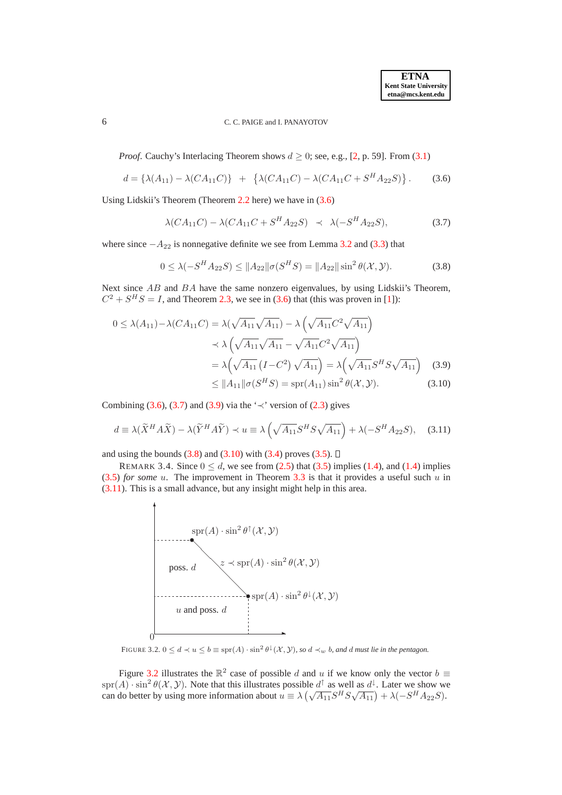*Proof.* Cauchy's Interlacing Theorem shows  $d > 0$ ; see, e.g., [\[2,](#page-9-3) p. 59]. From [\(3.1\)](#page-3-1)

$$
d = \{\lambda(A_{11}) - \lambda(CA_{11}C)\} + \{\lambda(CA_{11}C) - \lambda(CA_{11}C + S^H A_{22}S)\}.
$$
 (3.6)

<span id="page-5-2"></span>Using Lidskii's Theorem (Theorem [2.2](#page-3-4) here) we have in [\(3.6\)](#page-5-1)

<span id="page-5-4"></span><span id="page-5-1"></span>
$$
\lambda(CA_{11}C) - \lambda(CA_{11}C + S^H A_{22}S) \prec \lambda(-S^H A_{22}S), \tag{3.7}
$$

where since  $-A_{22}$  is nonnegative definite we see from Lemma [3.2](#page-4-2) and [\(3.3\)](#page-4-3) that

<span id="page-5-5"></span><span id="page-5-3"></span>
$$
0 \le \lambda(-S^H A_{22} S) \le \|A_{22}\| \sigma(S^H S) = \|A_{22}\| \sin^2 \theta(\mathcal{X}, \mathcal{Y}). \tag{3.8}
$$

Next since AB and BA have the same nonzero eigenvalues, by using Lidskii's Theorem,  $C^2 + S^H S = I$ , and Theorem [2.3,](#page-3-3) we see in [\(3.6\)](#page-5-1) that (this was proven in [\[1\]](#page-9-0)):

$$
0 \le \lambda(A_{11}) - \lambda(CA_{11}C) = \lambda(\sqrt{A_{11}}\sqrt{A_{11}}) - \lambda(\sqrt{A_{11}}C^2\sqrt{A_{11}})
$$
  

$$
\prec \lambda(\sqrt{A_{11}}\sqrt{A_{11}} - \sqrt{A_{11}}C^2\sqrt{A_{11}})
$$
  

$$
= \lambda(\sqrt{A_{11}}(I - C^2)\sqrt{A_{11}}) = \lambda(\sqrt{A_{11}}S^HS\sqrt{A_{11}}) \quad (3.9)
$$
  

$$
\le \|A_{11}\|\sigma(S^HS) = \text{spr}(A_{11})\sin^2\theta(\mathcal{X}, \mathcal{Y}). \quad (3.10)
$$

Combining [\(3.6\)](#page-5-1), [\(3.7\)](#page-5-2) and [\(3.9\)](#page-5-3) via the ' $\prec$ ' version of [\(2.3\)](#page-2-5) gives

$$
d \equiv \lambda(\widetilde{X}^H A \widetilde{X}) - \lambda(\widetilde{Y}^H A \widetilde{Y}) \prec u \equiv \lambda\left(\sqrt{A_{11}} S^H S \sqrt{A_{11}}\right) + \lambda(-S^H A_{22} S), \quad (3.11)
$$

and using the bounds  $(3.8)$  and  $(3.10)$  with  $(3.4)$  proves  $(3.5)$ .  $\Box$ 

REMARK 3.4. Since  $0 \le d$ , we see from [\(2.5\)](#page-2-4) that [\(3.5\)](#page-4-5) implies [\(1.4\)](#page-1-5), and (1.4) implies  $(3.5)$  *for some* u. The improvement in Theorem [3.3](#page-4-0) is that it provides a useful such u in [\(3.11\)](#page-5-6). This is a small advance, but any insight might help in this area.

<span id="page-5-6"></span>

FIGURE 3.2.  $0 \le d \prec u \le b \equiv \text{spr}(A) \cdot \sin^2 \theta^{\downarrow}(\mathcal{X}, \mathcal{Y})$ *, so*  $d \prec_w b$ *, and d must lie in the pentagon.* 

<span id="page-5-0"></span>Figure [3.2](#page-5-0) illustrates the  $\mathbb{R}^2$  case of possible d and u if we know only the vector  $b \equiv$  $\text{spr}(A) \cdot \sin^2 \theta(\mathcal{X}, \mathcal{Y})$ . Note that this illustrates possible  $d^{\uparrow}$  as well as  $d^{\downarrow}$ . Later we show we can do better by using more information about  $u = \lambda \left( \sqrt{A_{11}} S^H S \sqrt{A_{11}} \right) + \lambda \left( -S^H A_{22} S \right)$ .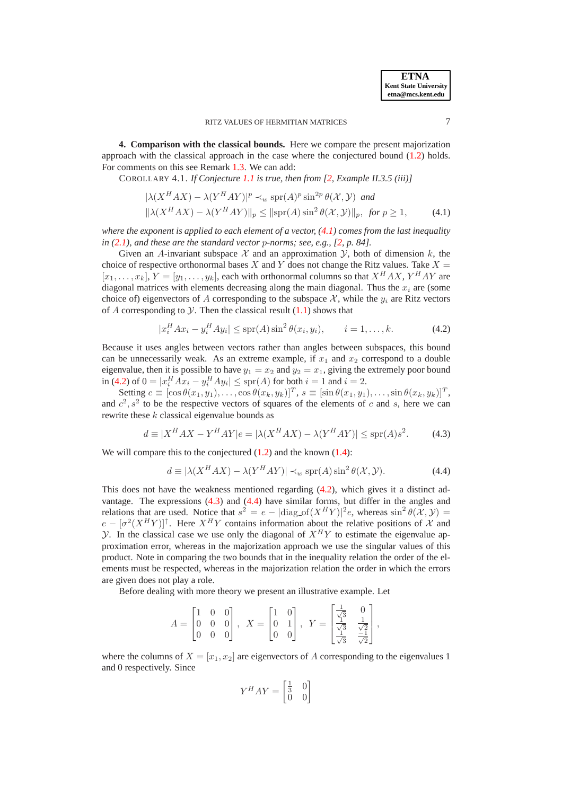<span id="page-6-0"></span>**4. Comparison with the classical bounds.** Here we compare the present majorization approach with the classical approach in the case where the conjectured bound [\(1.2\)](#page-1-3) holds. For comments on this see Remark [1.3.](#page-1-7) We can add:

COROLLARY 4.1. *If Conjecture [1.1](#page-1-1) is true, then from [\[2,](#page-9-3) Example II.3.5 (iii)]*

<span id="page-6-1"></span>
$$
|\lambda(X^H A X) - \lambda(Y^H A Y)|^p \prec_w \text{spr}(A)^p \sin^{2p} \theta(\mathcal{X}, \mathcal{Y}) \text{ and}
$$
  

$$
||\lambda(X^H A X) - \lambda(Y^H A Y)||_p \le ||\text{spr}(A) \sin^2 \theta(\mathcal{X}, \mathcal{Y})||_p, \text{ for } p \ge 1,
$$
 (4.1)

*where the exponent is applied to each element of a vector, [\(4.1\)](#page-6-1) comes from the last inequality in [\(2.1\)](#page-2-1), and these are the standard vector* p*-norms; see, e.g., [\[2,](#page-9-3) p. 84].*

Given an A-invariant subspace  $\mathcal X$  and an approximation  $\mathcal Y$ , both of dimension k, the choice of respective orthonormal bases X and Y does not change the Ritz values. Take  $X =$  $[x_1, \ldots, x_k], Y = [y_1, \ldots, y_k]$ , each with orthonormal columns so that  $X^H A X$ ,  $Y^H A Y$  are diagonal matrices with elements decreasing along the main diagonal. Thus the  $x_i$  are (some choice of) eigenvectors of A corresponding to the subspace  $\mathcal{X}$ , while the  $y_i$  are Ritz vectors of A corresponding to  $Y$ . Then the classical result  $(1.1)$  shows that

$$
|x_i^H A x_i - y_i^H A y_i| \le \text{spr}(A) \sin^2 \theta(x_i, y_i), \qquad i = 1, ..., k. \tag{4.2}
$$

<span id="page-6-2"></span>Because it uses angles between vectors rather than angles between subspaces, this bound can be unnecessarily weak. As an extreme example, if  $x_1$  and  $x_2$  correspond to a double eigenvalue, then it is possible to have  $y_1 = x_2$  and  $y_2 = x_1$ , giving the extremely poor bound in [\(4.2\)](#page-6-2) of  $0 = |x_i^H A x_i - y_i^H A y_i| \le \text{spr}(A)$  for both  $i = 1$  and  $i = 2$ .

<span id="page-6-3"></span>Setting  $c \equiv [\cos \theta(x_1, y_1), \dots, \cos \theta(x_k, y_k)]^T$ ,  $s \equiv [\sin \theta(x_1, y_1), \dots, \sin \theta(x_k, y_k)]^T$ , and  $c^2$ ,  $s^2$  to be the respective vectors of squares of the elements of c and s, here we can rewrite these  $k$  classical eigenvalue bounds as

$$
d \equiv |X^H A X - Y^H A Y|e = |\lambda (X^H A X) - \lambda (Y^H A Y)| \le \text{spr}(A) s^2. \tag{4.3}
$$

<span id="page-6-4"></span>We will compare this to the conjectured  $(1.2)$  and the known  $(1.4)$ :

$$
d \equiv |\lambda(X^H A X) - \lambda(Y^H A Y)| \prec_w \text{spr}(A) \sin^2 \theta(\mathcal{X}, \mathcal{Y}).
$$
 (4.4)

This does not have the weakness mentioned regarding [\(4.2\)](#page-6-2), which gives it a distinct advantage. The expressions [\(4.3\)](#page-6-3) and [\(4.4\)](#page-6-4) have similar forms, but differ in the angles and relations that are used. Notice that  $s^2 = e - |\text{diag_of}(X^H Y)|^2 e$ , whereas  $\sin^2 \theta(\mathcal{X}, \mathcal{Y}) =$  $e - [\sigma^2(X^H Y)]^{\dagger}$ . Here  $X^H Y$  contains information about the relative positions of X and y. In the classical case we use only the diagonal of  $X^H Y$  to estimate the eigenvalue approximation error, whereas in the majorization approach we use the singular values of this product. Note in comparing the two bounds that in the inequality relation the order of the elements must be respected, whereas in the majorization relation the order in which the errors are given does not play a role.

Before dealing with more theory we present an illustrative example. Let

$$
A = \begin{bmatrix} 1 & 0 & 0 \\ 0 & 0 & 0 \\ 0 & 0 & 0 \end{bmatrix}, \ \ X = \begin{bmatrix} 1 & 0 \\ 0 & 1 \\ 0 & 0 \end{bmatrix}, \ \ Y = \begin{bmatrix} \frac{1}{\sqrt{3}} & 0 \\ \frac{1}{\sqrt{3}} & \frac{1}{\sqrt{2}} \\ \frac{1}{\sqrt{3}} & \frac{1}{\sqrt{2}} \end{bmatrix},
$$

where the columns of  $X = [x_1, x_2]$  are eigenvectors of A corresponding to the eigenvalues 1 and 0 respectively. Since

$$
Y^H A Y = \begin{bmatrix} \frac{1}{3} & 0\\ 0 & 0 \end{bmatrix}
$$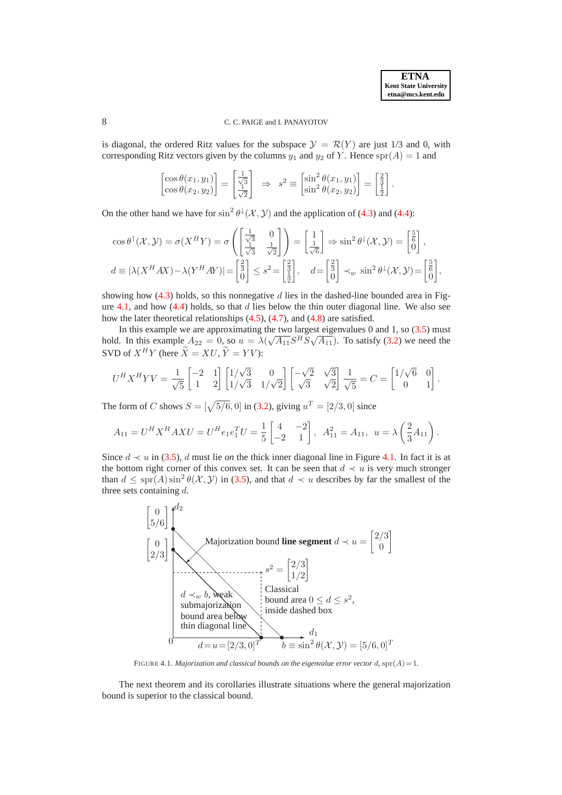is diagonal, the ordered Ritz values for the subspace  $\mathcal{Y} = \mathcal{R}(Y)$  are just 1/3 and 0, with corresponding Ritz vectors given by the columns  $y_1$  and  $y_2$  of Y. Hence  $spr(A) = 1$  and

$$
\begin{bmatrix}\n\cos \theta(x_1, y_1) \\
\cos \theta(x_2, y_2)\n\end{bmatrix} = \begin{bmatrix}\n\frac{1}{\sqrt{3}} \\
\frac{1}{\sqrt{2}}\n\end{bmatrix} \Rightarrow s^2 \equiv \begin{bmatrix}\n\sin^2 \theta(x_1, y_1) \\
\sin^2 \theta(x_2, y_2)\n\end{bmatrix} = \begin{bmatrix}\n\frac{2}{3} \\
\frac{1}{2}\n\end{bmatrix}.
$$

On the other hand we have for  $\sin^2 \theta^{\downarrow}(\mathcal{X}, \mathcal{Y})$  and the application of [\(4.3\)](#page-6-3) and [\(4.4\)](#page-6-4):

$$
\cos \theta^{\uparrow}(\mathcal{X}, \mathcal{Y}) = \sigma(X^{H}Y) = \sigma\left(\begin{bmatrix} \frac{1}{\sqrt{3}} & 0\\ \frac{1}{\sqrt{3}} & \frac{1}{\sqrt{2}} \end{bmatrix}\right) = \begin{bmatrix} 1\\ \frac{1}{\sqrt{6}} \end{bmatrix} \Rightarrow \sin^{2} \theta^{\downarrow}(\mathcal{X}, \mathcal{Y}) = \begin{bmatrix} \frac{5}{6} \\ 0 \end{bmatrix},
$$
  
\n $d \equiv |\lambda(X^{H}AX) - \lambda(Y^{H}AY)| = \begin{bmatrix} \frac{2}{3} \\ 0 \end{bmatrix} \leq s^{2} = \begin{bmatrix} \frac{2}{3} \\ \frac{1}{2} \end{bmatrix}, \quad d = \begin{bmatrix} \frac{2}{3} \\ 0 \end{bmatrix} \prec_{w} \sin^{2} \theta^{\downarrow}(\mathcal{X}, \mathcal{Y}) = \begin{bmatrix} \frac{5}{6} \\ 0 \end{bmatrix},$ 

showing how  $(4.3)$  holds, so this nonnegative d lies in the dashed-line bounded area in Fig-ure [4.1,](#page-7-0) and how  $(4.4)$  holds, so that d lies below the thin outer diagonal line. We also see how the later theoretical relationships [\(4.5\)](#page-8-0), [\(4.7\)](#page-8-1), and [\(4.8\)](#page-9-4) are satisfied.

In this example we are approximating the two largest eigenvalues  $0$  and  $1$ , so  $(3.5)$  must hold. In this example  $A_{22} = 0$ , so  $u = \lambda(\sqrt{A_{11}} S^H S \sqrt{A_{11}})$ . To satisfy [\(3.2\)](#page-4-6) we need the SVD of  $X^H Y$  (here  $\widetilde{X} = X U, \widetilde{Y} = Y V$ ):

$$
U^H X^H Y V = \frac{1}{\sqrt{5}} \begin{bmatrix} -2 & 1 \\ 1 & 2 \end{bmatrix} \begin{bmatrix} 1/\sqrt{3} & 0 \\ 1/\sqrt{3} & 1/\sqrt{2} \end{bmatrix} \begin{bmatrix} -\sqrt{2} & \sqrt{3} \\ \sqrt{3} & \sqrt{2} \end{bmatrix} \frac{1}{\sqrt{5}} = C = \begin{bmatrix} 1/\sqrt{6} & 0 \\ 0 & 1 \end{bmatrix}.
$$

The form of C shows  $S = [\sqrt{5/6}, 0]$  in [\(3.2\)](#page-4-6), giving  $u^T = [2/3, 0]$  since

$$
A_{11} = U^H X^H A X U = U^H e_1 e_1^T U = \frac{1}{5} \begin{bmatrix} 4 & -2 \\ -2 & 1 \end{bmatrix}, A_{11}^2 = A_{11}, u = \lambda \left(\frac{2}{3} A_{11}\right).
$$

Since  $d \sim u$  in [\(3.5\)](#page-4-5), d must lie *on* the thick inner diagonal line in Figure [4.1.](#page-7-0) In fact it is at the bottom right corner of this convex set. It can be seen that  $d \prec u$  is very much stronger than  $d \le \text{spr}(A) \sin^2 \theta(\mathcal{X}, \mathcal{Y})$  in [\(3.5\)](#page-4-5), and that  $d \prec u$  describes by far the smallest of the three sets containing d.



<span id="page-7-1"></span>FIGURE 4.1. *Majorization and classical bounds on the eigenvalue error vector d,*  $spr(A) = 1$ *.* 

<span id="page-7-0"></span>The next theorem and its corollaries illustrate situations where the general majorization bound is superior to the classical bound.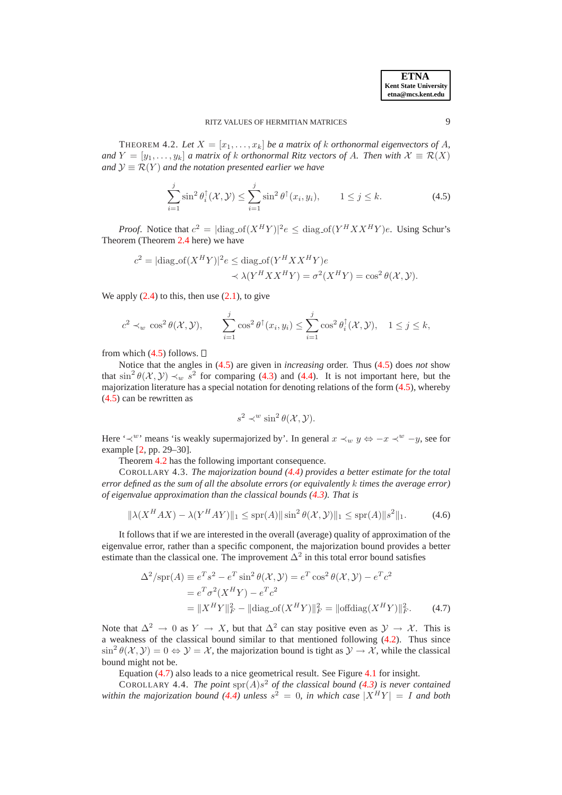**ETNA Kent State University etna@mcs.kent.edu**

<span id="page-8-0"></span>THEOREM 4.2. Let  $X = [x_1, \ldots, x_k]$  be a matrix of k orthonormal eigenvectors of A, *and*  $Y = [y_1, \ldots, y_k]$  *a matrix of* k *orthonormal Ritz vectors of A. Then with*  $\mathcal{X} \equiv \mathcal{R}(X)$ *and*  $\mathcal{Y} \equiv \mathcal{R}(Y)$  *and the notation presented earlier we have* 

$$
\sum_{i=1}^{j} \sin^2 \theta_i^{\uparrow}(\mathcal{X}, \mathcal{Y}) \le \sum_{i=1}^{j} \sin^2 \theta^{\uparrow}(x_i, y_i), \qquad 1 \le j \le k.
$$
 (4.5)

*Proof.* Notice that  $c^2 = |\text{diag\_of}(X^H Y)|^2 e \leq \text{diag\_of}(Y^H X X^H Y)e$ . Using Schur's Theorem (Theorem [2.4](#page-3-5) here) we have

$$
c^{2} = |\text{diag\_of}(X^{H}Y)|^{2} e \le \text{diag\_of}(Y^{H}XX^{H}Y)e
$$

$$
\prec \lambda(Y^{H}XX^{H}Y) = \sigma^{2}(X^{H}Y) = \cos^{2}\theta(\mathcal{X}, \mathcal{Y}).
$$

We apply  $(2.4)$  to this, then use  $(2.1)$ , to give

$$
c^2 \prec_w \cos^2 \theta(\mathcal{X}, \mathcal{Y}), \qquad \sum_{i=1}^j \cos^2 \theta^\uparrow(x_i, y_i) \leq \sum_{i=1}^j \cos^2 \theta_i^\uparrow(\mathcal{X}, \mathcal{Y}), \quad 1 \leq j \leq k,
$$

from which  $(4.5)$  follows.  $\square$ 

Notice that the angles in [\(4.5\)](#page-8-0) are given in *increasing* order. Thus [\(4.5\)](#page-8-0) does *not* show that  $\sin^2 \theta(\mathcal{X}, \mathcal{Y}) \prec_w s^2$  for comparing [\(4.3\)](#page-6-3) and [\(4.4\)](#page-6-4). It is not important here, but the majorization literature has a special notation for denoting relations of the form [\(4.5\)](#page-8-0), whereby [\(4.5\)](#page-8-0) can be rewritten as

<span id="page-8-1"></span>
$$
s^2 \prec^w \sin^2 \theta(\mathcal{X}, \mathcal{Y}).
$$

Here ' $\prec^w$ ' means 'is weakly supermajorized by'. In general  $x \prec_w y \Leftrightarrow -x \prec^w -y$ , see for example [\[2,](#page-9-3) pp. 29–30].

Theorem [4.2](#page-7-1) has the following important consequence.

<span id="page-8-2"></span>COROLLARY 4.3. *The majorization bound [\(4.4\)](#page-6-4) provides a better estimate for the total error defined as the sum of all the absolute errors (or equivalently* k *times the average error) of eigenvalue approximation than the classical bounds [\(4.3\)](#page-6-3). That is*

$$
\|\lambda(X^H A X) - \lambda(Y^H A Y)\|_1 \le \text{spr}(A) \|\sin^2 \theta(\mathcal{X}, \mathcal{Y})\|_1 \le \text{spr}(A) \|s^2\|_1. \tag{4.6}
$$

It follows that if we are interested in the overall (average) quality of approximation of the eigenvalue error, rather than a specific component, the majorization bound provides a better estimate than the classical one. The improvement  $\Delta^2$  in this total error bound satisfies

$$
\Delta^2/\text{spr}(A) \equiv e^T s^2 - e^T \sin^2 \theta(\mathcal{X}, \mathcal{Y}) = e^T \cos^2 \theta(\mathcal{X}, \mathcal{Y}) - e^T c^2
$$

$$
= e^T \sigma^2 (X^H Y) - e^T c^2
$$

$$
= \|X^H Y\|_F^2 - \|\text{diag\_of}(X^H Y)\|_F^2 = \|\text{offdiag}(X^H Y)\|_F^2. \tag{4.7}
$$

Note that  $\Delta^2 \to 0$  as  $Y \to X$ , but that  $\Delta^2$  can stay positive even as  $\mathcal{Y} \to \mathcal{X}$ . This is a weakness of the classical bound similar to that mentioned following [\(4.2\)](#page-6-2). Thus since  $\sin^2 \theta(\mathcal{X}, \mathcal{Y}) = 0 \Leftrightarrow \mathcal{Y} = \mathcal{X}$ , the majorization bound is tight as  $\mathcal{Y} \to \mathcal{X}$ , while the classical bound might not be.

Equation [\(4.7\)](#page-8-1) also leads to a nice geometrical result. See Figure [4.1](#page-7-0) for insight.

COROLLARY 4.4. The point  $spr(A)s^2$  of the classical bound [\(4.3\)](#page-6-3) is never contained *within the majorization bound* [\(4.4\)](#page-6-4) *unless*  $s^2 = 0$ *, in which case*  $|X^H Y| = I$  *and both*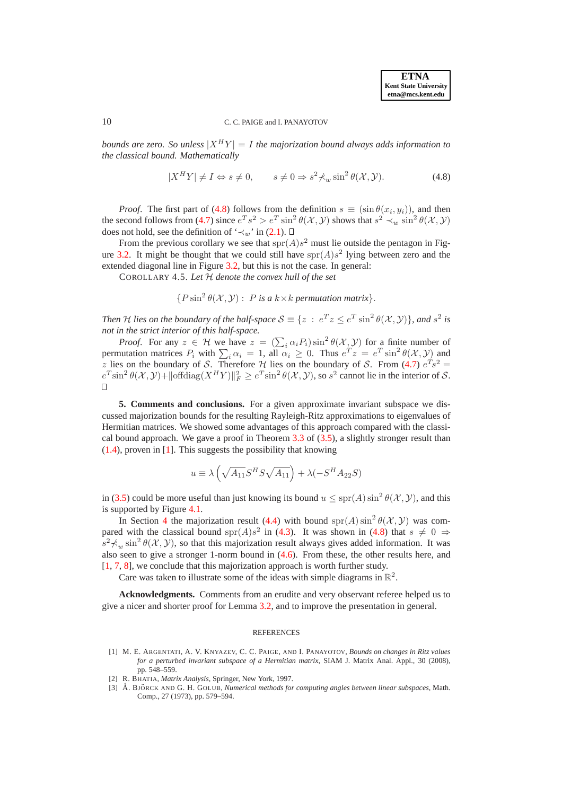<span id="page-9-4"></span>*bounds are zero. So unless*  $|X^H Y| = I$  *the majorization bound always adds information to the classical bound. Mathematically*

$$
|X^H Y| \neq I \Leftrightarrow s \neq 0, \qquad s \neq 0 \Rightarrow s^2 \nless_{w} \sin^2 \theta(\mathcal{X}, \mathcal{Y}). \tag{4.8}
$$

*Proof.* The first part of [\(4.8\)](#page-9-4) follows from the definition  $s \equiv (\sin \theta(x_i, y_i))$ , and then the second follows from [\(4.7\)](#page-8-1) since  $e^T s^2 > e^T \sin^2 \theta(\mathcal{X}, \mathcal{Y})$  shows that  $s^2 \prec_w \sin^2 \theta(\mathcal{X}, \mathcal{Y})$ does not hold, see the definition of ' $\prec_w$ ' in [\(2.1\)](#page-2-1).  $\Box$ 

From the previous corollary we see that  $spr(A)s^2$  must lie outside the pentagon in Fig-ure [3.2.](#page-5-0) It might be thought that we could still have  $spr(A)s^2$  lying between zero and the extended diagonal line in Figure [3.2,](#page-5-0) but this is not the case. In general:

COROLLARY 4.5. *Let* H *denote the convex hull of the set*

 ${P \sin^2 \theta(X, Y) : P \text{ is a } k \times k \text{ permutation matrix}}.$ 

*Then H lies on the boundary of the half-space*  $S \equiv \{z : e^T z \le e^T \sin^2 \theta(\mathcal{X}, \mathcal{Y})\}$ , and  $s^2$  is *not in the strict interior of this half-space.*

*Proof.* For any  $z \in \mathcal{H}$  we have  $z = (\sum_i \alpha_i P_i) \sin^2 \theta(\mathcal{X}, \mathcal{Y})$  for a finite number of permutation matrices  $P_i$  with  $\sum_i \alpha_i = 1$ , all  $\alpha_i \ge 0$ . Thus  $e^T z = e^T \sin^2 \theta(\mathcal{X}, \mathcal{Y})$  and z lies on the boundary of S. Therefore  $\mathcal{H}$  lies on the boundary of S. From [\(4.7\)](#page-8-1)  $e^{T} s^2 =$  $e^{T} \sin^{2} \theta(\mathcal{X}, \mathcal{Y}) + ||\text{offdiag}(X^{H}Y)||_{F}^{2} \geq e^{T} \sin^{2} \theta(\mathcal{X}, \mathcal{Y})$ , so  $s^{2}$  cannot lie in the interior of  $\mathcal{S}$ .  $\Box$ 

<span id="page-9-1"></span>**5. Comments and conclusions.** For a given approximate invariant subspace we discussed majorization bounds for the resulting Rayleigh-Ritz approximations to eigenvalues of Hermitian matrices. We showed some advantages of this approach compared with the classical bound approach. We gave a proof in Theorem [3.3](#page-4-0) of [\(3.5\)](#page-4-5), a slightly stronger result than [\(1.4\)](#page-1-5), proven in [\[1\]](#page-9-0). This suggests the possibility that knowing

$$
u \equiv \lambda \left( \sqrt{A_{11}} S^H S \sqrt{A_{11}} \right) + \lambda (-S^H A_{22} S)
$$

in [\(3.5\)](#page-4-5) could be more useful than just knowing its bound  $u \le \text{spr}(A) \sin^2 \theta(\mathcal{X}, \mathcal{Y})$ , and this is supported by Figure [4.1.](#page-7-0)

In Section [4](#page-6-0) the majorization result [\(4.4\)](#page-6-4) with bound spr(A) sin<sup>2</sup>  $\theta$ (X, Y) was compared with the classical bound  $spr(A)s^2$  in [\(4.3\)](#page-6-3). It was shown in [\(4.8\)](#page-9-4) that  $s \neq 0 \Rightarrow$  $s^2 \nless w \sin^2 \theta(\mathcal{X}, \mathcal{Y})$ , so that this majorization result always gives added information. It was also seen to give a stronger 1-norm bound in [\(4.6\)](#page-8-2). From these, the other results here, and [\[1,](#page-9-0) [7,](#page-10-4) [8\]](#page-10-8), we conclude that this majorization approach is worth further study.

Care was taken to illustrate some of the ideas with simple diagrams in  $\mathbb{R}^2$ .

**Acknowledgments.** Comments from an erudite and very observant referee helped us to give a nicer and shorter proof for Lemma [3.2,](#page-4-2) and to improve the presentation in general.

#### REFERENCES

- <span id="page-9-0"></span>[1] M. E. ARGENTATI, A. V. KNYAZEV, C. C. PAIGE, AND I. PANAYOTOV, *Bounds on changes in Ritz values for a perturbed invariant subspace of a Hermitian matrix*, SIAM J. Matrix Anal. Appl., 30 (2008), pp. 548–559.
- <span id="page-9-3"></span><span id="page-9-2"></span>[2] R. BHATIA, *Matrix Analysis*, Springer, New York, 1997.
- [3] Å. BJÖRCK AND G. H. GOLUB, *Numerical methods for computing angles between linear subspaces*, Math. Comp., 27 (1973), pp. 579–594.